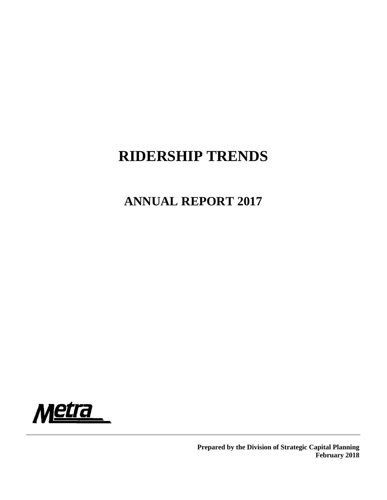# **RIDERSHIP TRENDS**

# **ANNUAL REPORT 2017**



**Prepared by the Division of Strategic Capital Planning February 2018**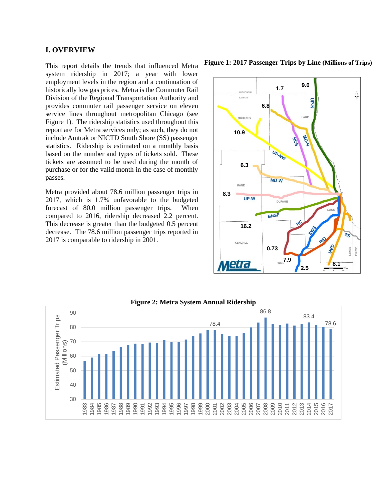## **I. OVERVIEW**

This report details the trends that influenced Metra system ridership in 2017; a year with lower employment levels in the region and a continuation of historically low gas prices. Metra is the Commuter Rail Division of the Regional Transportation Authority and provides commuter rail passenger service on eleven service lines throughout metropolitan Chicago (see Figure 1). The ridership statistics used throughout this report are for Metra services only; as such, they do not include Amtrak or NICTD South Shore (SS) passenger statistics. Ridership is estimated on a monthly basis based on the number and types of tickets sold. These tickets are assumed to be used during the month of purchase or for the valid month in the case of monthly passes.

Metra provided about 78.6 million passenger trips in 2017, which is 1.7% unfavorable to the budgeted forecast of 80.0 million passenger trips. When compared to 2016, ridership decreased 2.2 percent. This decrease is greater than the budgeted 0.5 percent decrease. The 78.6 million passenger trips reported in 2017 is comparable to ridership in 2001.

**Figure 1: 2017 Passenger Trips by Line (Millions of Trips)**





#### **Figure 2: Metra System Annual Ridership**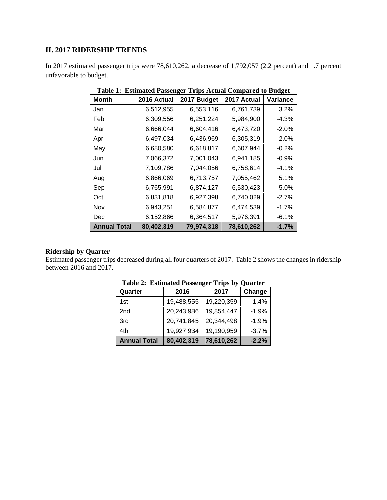## **II. 2017 RIDERSHIP TRENDS**

In 2017 estimated passenger trips were 78,610,262, a decrease of 1,792,057 (2.2 percent) and 1.7 percent unfavorable to budget.

| Month               | 2016 Actual | 2017 Budget | 2017 Actual | o<br>Variance |
|---------------------|-------------|-------------|-------------|---------------|
| Jan                 | 6,512,955   | 6,553,116   | 6,761,739   | 3.2%          |
| Feb                 | 6,309,556   | 6,251,224   | 5,984,900   | -4.3%         |
| Mar                 | 6,666,044   | 6,604,416   | 6,473,720   | $-2.0%$       |
| Apr                 | 6,497,034   | 6,436,969   | 6,305,319   | $-2.0%$       |
| May                 | 6,680,580   | 6,618,817   | 6,607,944   | $-0.2%$       |
| Jun                 | 7,066,372   | 7,001,043   | 6,941,185   | $-0.9%$       |
| Jul                 | 7,109,786   | 7,044,056   | 6,758,614   | $-4.1%$       |
| Aug                 | 6,866,069   | 6,713,757   | 7,055,462   | 5.1%          |
| Sep                 | 6,765,991   | 6,874,127   | 6,530,423   | $-5.0%$       |
| Oct                 | 6,831,818   | 6,927,398   | 6,740,029   | $-2.7%$       |
| Nov                 | 6,943,251   | 6,584,877   | 6,474,539   | $-1.7%$       |
| Dec                 | 6,152,866   | 6,364,517   | 5,976,391   | $-6.1%$       |
| <b>Annual Total</b> | 80,402,319  | 79,974,318  | 78,610,262  | $-1.7%$       |

**Table 1: Estimated Passenger Trips Actual Compared to Budget** 

# **Ridership by Quarter**

Estimated passenger trips decreased during all four quarters of 2017. Table 2 shows the changes in ridership between 2016 and 2017.

| $\sim$ where $\sim$ |            |            |         |  |  |  |  |
|---------------------|------------|------------|---------|--|--|--|--|
| Quarter             | 2016       | 2017       | Change  |  |  |  |  |
| 1st                 | 19,488,555 | 19,220,359 | $-1.4%$ |  |  |  |  |
| 2 <sub>nd</sub>     | 20,243,986 | 19,854,447 | $-1.9%$ |  |  |  |  |
| 3rd                 | 20,741,845 | 20,344,498 | $-1.9%$ |  |  |  |  |
| 4th                 | 19,927,934 | 19,190,959 | $-3.7%$ |  |  |  |  |
| <b>Annual Total</b> | 80,402,319 | 78,610,262 | $-2.2%$ |  |  |  |  |

**Table 2: Estimated Passenger Trips by Quarter**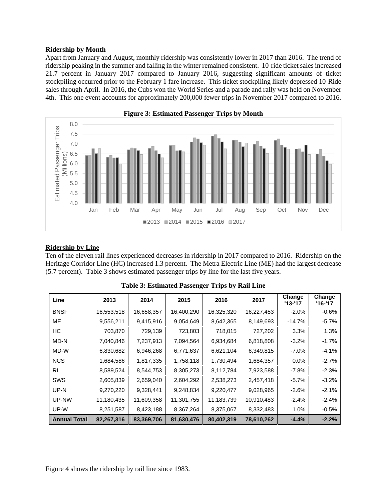## **Ridership by Month**

Apart from January and August, monthly ridership was consistently lower in 2017 than 2016. The trend of ridership peaking in the summer and falling in the winter remained consistent. 10-ride ticket sales increased 21.7 percent in January 2017 compared to January 2016, suggesting significant amounts of ticket stockpiling occurred prior to the February 1 fare increase. This ticket stockpiling likely depressed 10-Ride sales through April. In 2016, the Cubs won the World Series and a parade and rally was held on November 4th. This one event accounts for approximately 200,000 fewer trips in November 2017 compared to 2016.



#### **Figure 3: Estimated Passenger Trips by Month**

#### **Ridership by Line**

Ten of the eleven rail lines experienced decreases in ridership in 2017 compared to 2016. Ridership on the Heritage Corridor Line (HC) increased 1.3 percent. The Metra Electric Line (ME) had the largest decrease (5.7 percent). Table 3 shows estimated passenger trips by line for the last five years.

| Line                | 2013       | 2014       | 2015       | 2016       | 2017       | Change<br>'13-'17 | Change<br>'16-'17 |
|---------------------|------------|------------|------------|------------|------------|-------------------|-------------------|
| <b>BNSF</b>         | 16,553,518 | 16,658,357 | 16,400,290 | 16,325,320 | 16,227,453 | -2.0%             | $-0.6%$           |
| <b>ME</b>           | 9,556,211  | 9,415,916  | 9,054,649  | 8,642,365  | 8,149,693  | $-14.7%$          | $-5.7%$           |
| HC                  | 703,870    | 729,139    | 723,803    | 718,015    | 727,202    | 3.3%              | 1.3%              |
| MD-N                | 7,040,846  | 7,237,913  | 7,094,564  | 6,934,684  | 6,818,808  | $-3.2%$           | $-1.7%$           |
| MD-W                | 6,830,682  | 6,946,268  | 6,771,637  | 6,621,104  | 6,349,815  | $-7.0%$           | $-4.1%$           |
| <b>NCS</b>          | 1,684,586  | 1,817,335  | 1,758,118  | 1,730,494  | 1,684,357  | $0.0\%$           | $-2.7%$           |
| RI                  | 8,589,524  | 8,544,753  | 8,305,273  | 8,112,784  | 7,923,588  | $-7.8%$           | $-2.3%$           |
| <b>SWS</b>          | 2,605,839  | 2,659,040  | 2,604,292  | 2,538,273  | 2,457,418  | $-5.7%$           | $-3.2%$           |
| UP-N                | 9,270,220  | 9,328,441  | 9,248,834  | 9,220,477  | 9,028,965  | $-2.6%$           | $-2.1%$           |
| UP-NW               | 11,180,435 | 11,609,358 | 11,301,755 | 11,183,739 | 10,910,483 | $-2.4%$           | $-2.4%$           |
| UP-W                | 8,251,587  | 8,423,188  | 8,367,264  | 8,375,067  | 8,332,483  | 1.0%              | $-0.5%$           |
| <b>Annual Total</b> | 82,267,316 | 83,369,706 | 81,630,476 | 80,402,319 | 78,610,262 | $-4.4%$           | $-2.2%$           |

**Table 3: Estimated Passenger Trips by Rail Line** 

Figure 4 shows the ridership by rail line since 1983.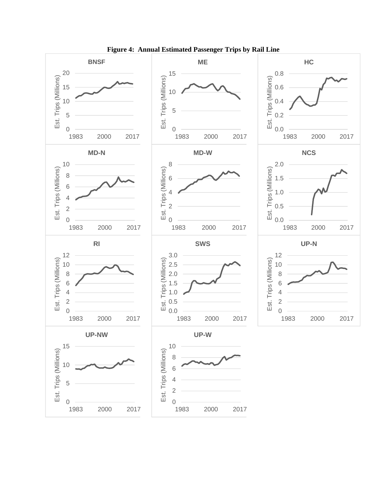

**Figure 4: Annual Estimated Passenger Trips by Rail Line**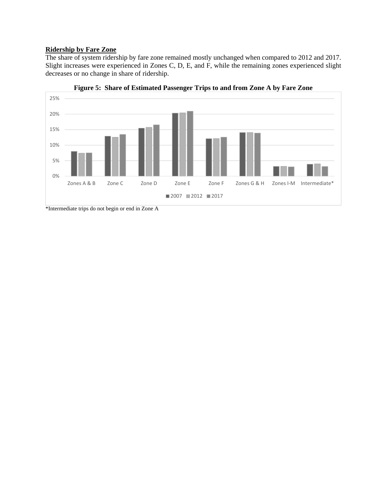#### **Ridership by Fare Zone**

The share of system ridership by fare zone remained mostly unchanged when compared to 2012 and 2017. Slight increases were experienced in Zones C, D, E, and F, while the remaining zones experienced slight decreases or no change in share of ridership.



**Figure 5: Share of Estimated Passenger Trips to and from Zone A by Fare Zone** 

\*Intermediate trips do not begin or end in Zone A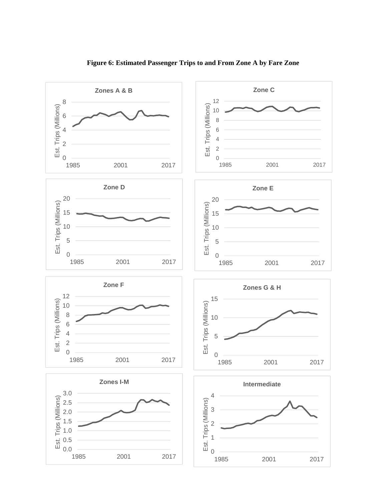

**Figure 6: Estimated Passenger Trips to and From Zone A by Fare Zone**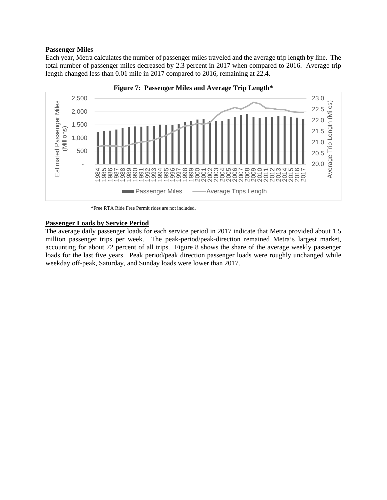## **Passenger Miles**

Each year, Metra calculates the number of passenger miles traveled and the average trip length by line. The total number of passenger miles decreased by 2.3 percent in 2017 when compared to 2016. Average trip length changed less than 0.01 mile in 2017 compared to 2016, remaining at 22.4.



**Figure 7: Passenger Miles and Average Trip Length\*** 

\*Free RTA Ride Free Permit rides are not included.

## **Passenger Loads by Service Period**

The average daily passenger loads for each service period in 2017 indicate that Metra provided about 1.5 million passenger trips per week. The peak-period/peak-direction remained Metra's largest market, accounting for about 72 percent of all trips. Figure 8 shows the share of the average weekly passenger loads for the last five years. Peak period/peak direction passenger loads were roughly unchanged while weekday off-peak, Saturday, and Sunday loads were lower than 2017.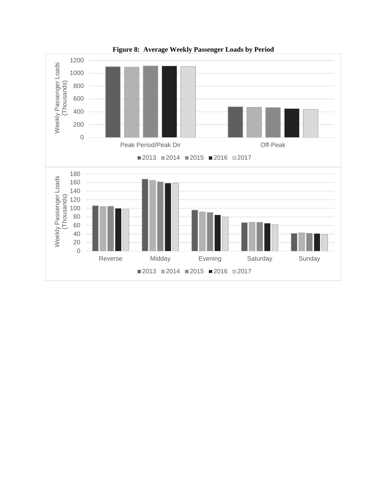

**Figure 8: Average Weekly Passenger Loads by Period**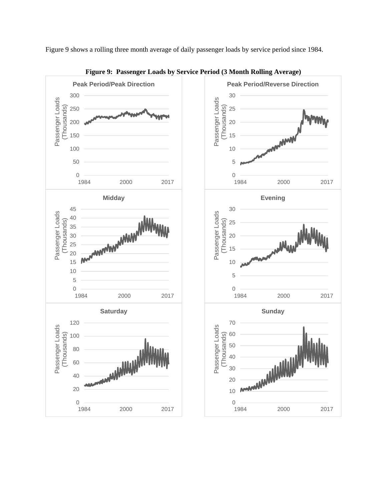Figure 9 shows a rolling three month average of daily passenger loads by service period since 1984.



**Figure 9: Passenger Loads by Service Period (3 Month Rolling Average)**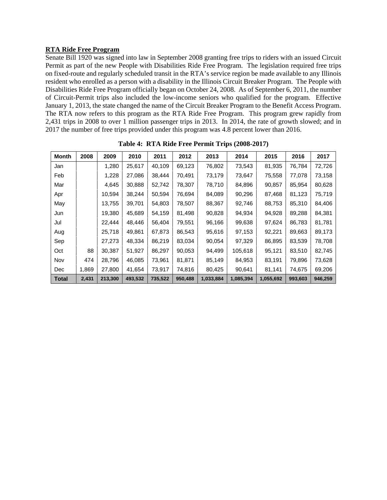## **RTA Ride Free Program**

Senate Bill 1920 was signed into law in September 2008 granting free trips to riders with an issued Circuit Permit as part of the new People with Disabilities Ride Free Program. The legislation required free trips on fixed-route and regularly scheduled transit in the RTA's service region be made available to any Illinois resident who enrolled as a person with a disability in the Illinois Circuit Breaker Program. The People with Disabilities Ride Free Program officially began on October 24, 2008. As of September 6, 2011, the number of Circuit-Permit trips also included the low-income seniors who qualified for the program. Effective January 1, 2013, the state changed the name of the Circuit Breaker Program to the Benefit Access Program. The RTA now refers to this program as the RTA Ride Free Program. This program grew rapidly from 2,431 trips in 2008 to over 1 million passenger trips in 2013. In 2014, the rate of growth slowed; and in 2017 the number of free trips provided under this program was 4.8 percent lower than 2016.

| <b>Month</b> | 2008  | 2009    | 2010    | 2011    | 2012    | 2013      | 2014      | 2015      | 2016    | 2017    |
|--------------|-------|---------|---------|---------|---------|-----------|-----------|-----------|---------|---------|
| Jan          |       | 1,280   | 25,617  | 40,109  | 69,123  | 76,802    | 73,543    | 81,935    | 76,784  | 72,726  |
| Feb          |       | 1,228   | 27,086  | 38,444  | 70.491  | 73,179    | 73,647    | 75,558    | 77,078  | 73,158  |
| Mar          |       | 4,645   | 30,888  | 52,742  | 78,307  | 78,710    | 84,896    | 90,857    | 85,954  | 80,628  |
| Apr          |       | 10,594  | 38,244  | 50,594  | 76.694  | 84,089    | 90,296    | 87,468    | 81,123  | 75,719  |
| May          |       | 13,755  | 39,701  | 54,803  | 78,507  | 88,367    | 92,746    | 88,753    | 85,310  | 84,406  |
| Jun          |       | 19,380  | 45,689  | 54,159  | 81,498  | 90,828    | 94,934    | 94,928    | 89,288  | 84,381  |
| Jul          |       | 22.444  | 48.446  | 56.404  | 79,551  | 96,166    | 99,638    | 97,624    | 86,783  | 81,781  |
| Aug          |       | 25,718  | 49,861  | 67,873  | 86,543  | 95,616    | 97,153    | 92,221    | 89,663  | 89,173  |
| Sep          |       | 27,273  | 48,334  | 86,219  | 83,034  | 90,054    | 97,329    | 86,895    | 83,539  | 78,708  |
| Oct          | 88    | 30,387  | 51,927  | 86,297  | 90,053  | 94.499    | 105,618   | 95,121    | 83,510  | 82,745  |
| Nov          | 474   | 28,796  | 46,085  | 73,961  | 81,871  | 85,149    | 84,953    | 83,191    | 79,896  | 73,628  |
| Dec          | 1,869 | 27,800  | 41,654  | 73,917  | 74,816  | 80,425    | 90,641    | 81,141    | 74,675  | 69,206  |
| <b>Total</b> | 2,431 | 213,300 | 493,532 | 735,522 | 950,488 | 1,033,884 | 1,085,394 | 1,055,692 | 993,603 | 946,259 |

**Table 4: RTA Ride Free Permit Trips (2008-2017)**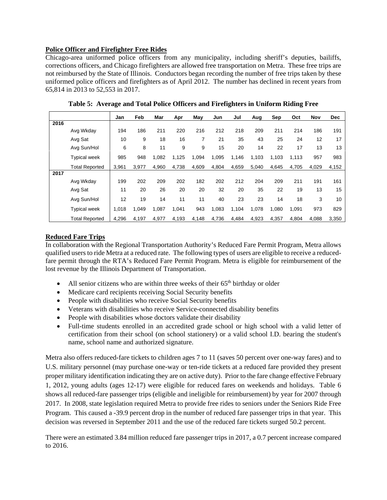## **Police Officer and Firefighter Free Rides**

Chicago-area uniformed police officers from any municipality, including sheriff's deputies, bailiffs, corrections officers, and Chicago firefighters are allowed free transportation on Metra. These free trips are not reimbursed by the State of Illinois. Conductors began recording the number of free trips taken by these uniformed police officers and firefighters as of April 2012. The number has declined in recent years from 65,814 in 2013 to 52,553 in 2017.

|      |                       | Jan   | Feb   | Mar   | Apr   | May   | Jun   | Jul   | Aug   | Sep   | Oct   | Nov   | <b>Dec</b> |
|------|-----------------------|-------|-------|-------|-------|-------|-------|-------|-------|-------|-------|-------|------------|
| 2016 |                       |       |       |       |       |       |       |       |       |       |       |       |            |
|      | Avg Wkday             | 194   | 186   | 211   | 220   | 216   | 212   | 218   | 209   | 211   | 214   | 186   | 191        |
|      | Avg Sat               | 10    | 9     | 18    | 16    | 7     | 21    | 35    | 43    | 25    | 24    | 12    | 17         |
|      | Avg Sun/Hol           | 6     | 8     | 11    | 9     | 9     | 15    | 20    | 14    | 22    | 17    | 13    | 13         |
|      | <b>Typical week</b>   | 985   | 948   | 1,082 | 1,125 | 1,094 | 1,095 | 1,146 | 1,103 | 1,103 | 1,113 | 957   | 983        |
|      | <b>Total Reported</b> | 3,961 | 3,977 | 4,960 | 4,738 | 4,609 | 4,804 | 4,659 | 5,040 | 4,645 | 4,705 | 4,029 | 4,152      |
| 2017 |                       |       |       |       |       |       |       |       |       |       |       |       |            |
|      | Avg Wkday             | 199   | 202   | 209   | 202   | 182   | 202   | 212   | 204   | 209   | 211   | 191   | 161        |
|      | Avg Sat               | 11    | 20    | 26    | 20    | 20    | 32    | 20    | 35    | 22    | 19    | 13    | 15         |
|      | Avg Sun/Hol           | 12    | 19    | 14    | 11    | 11    | 40    | 23    | 23    | 14    | 18    | 3     | 10         |
|      | <b>Typical week</b>   | 1,018 | 1,049 | 1,087 | 1,041 | 943   | 1,083 | 1,104 | 1,078 | 1,080 | 1.091 | 973   | 829        |
|      | <b>Total Reported</b> | 4,296 | 4,197 | 4,977 | 4,193 | 4,148 | 4,736 | 4,484 | 4,923 | 4,357 | 4,804 | 4,088 | 3,350      |

**Table 5: Average and Total Police Officers and Firefighters in Uniform Riding Free** 

## **Reduced Fare Trips**

In collaboration with the Regional Transportation Authority's Reduced Fare Permit Program, Metra allows qualified users to ride Metra at a reduced rate. The following types of users are eligible to receive a reducedfare permit through the RTA's Reduced Fare Permit Program. Metra is eligible for reimbursement of the lost revenue by the Illinois Department of Transportation.

- $\bullet$  All senior citizens who are within three weeks of their 65<sup>th</sup> birthday or older
- Medicare card recipients receiving Social Security benefits
- People with disabilities who receive Social Security benefits
- Veterans with disabilities who receive Service-connected disability benefits
- People with disabilities whose doctors validate their disability
- Full-time students enrolled in an accredited grade school or high school with a valid letter of certification from their school (on school stationery) or a valid school I.D. bearing the student's name, school name and authorized signature.

Metra also offers reduced-fare tickets to children ages 7 to 11 (saves 50 percent over one-way fares) and to U.S. military personnel (may purchase one-way or ten-ride tickets at a reduced fare provided they present proper military identification indicating they are on active duty). Prior to the fare change effective February 1, 2012, young adults (ages 12-17) were eligible for reduced fares on weekends and holidays. Table 6 shows all reduced-fare passenger trips (eligible and ineligible for reimbursement) by year for 2007 through 2017. In 2008, state legislation required Metra to provide free rides to seniors under the Seniors Ride Free Program. This caused a -39.9 percent drop in the number of reduced fare passenger trips in that year. This decision was reversed in September 2011 and the use of the reduced fare tickets surged 50.2 percent.

There were an estimated 3.84 million reduced fare passenger trips in 2017, a 0.7 percent increase compared to 2016.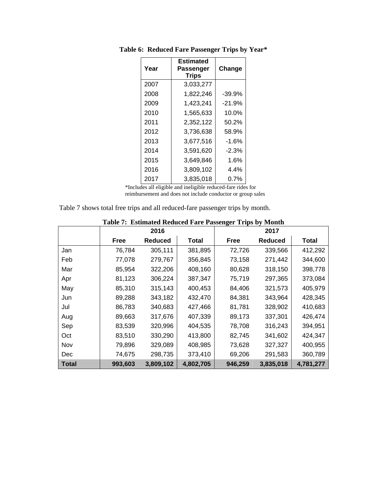| Year | Estimated<br>Passenger<br><b>Trips</b> | Change   |
|------|----------------------------------------|----------|
| 2007 | 3,033,277                              |          |
| 2008 | 1,822,246                              | $-39.9%$ |
| 2009 | 1,423,241                              | $-21.9%$ |
| 2010 | 1,565,633                              | 10.0%    |
| 2011 | 2,352,122                              | 50.2%    |
| 2012 | 3,736,638                              | 58.9%    |
| 2013 | 3,677,516                              | $-1.6%$  |
| 2014 | 3,591,620                              | $-2.3%$  |
| 2015 | 3,649,846                              | 1.6%     |
| 2016 | 3,809,102                              | $4.4\%$  |
| 2017 | 3,835,018                              | $0.7\%$  |

**Table 6: Reduced Fare Passenger Trips by Year\*** 

\*Includes all eligible and ineligible reduced-fare rides for reimbursement and does not include conductor or group sales

Table 7 shows total free trips and all reduced-fare passenger trips by month.

|              |             | 2016      | $\frac{1}{2}$ | 2017        |                |           |  |  |
|--------------|-------------|-----------|---------------|-------------|----------------|-----------|--|--|
|              | <b>Free</b> | Reduced   | Total         | <b>Free</b> | <b>Reduced</b> | Total     |  |  |
| Jan          | 76,784      | 305,111   | 381,895       | 72,726      | 339,566        | 412,292   |  |  |
| Feb          | 77,078      | 279,767   | 356,845       | 73,158      | 271,442        | 344,600   |  |  |
| Mar          | 85,954      | 322,206   | 408,160       | 80,628      | 318,150        | 398,778   |  |  |
| Apr          | 81,123      | 306,224   | 387,347       | 75,719      | 297,365        | 373,084   |  |  |
| May          | 85,310      | 315,143   | 400,453       | 84,406      | 321,573        | 405,979   |  |  |
| Jun          | 89,288      | 343,182   | 432,470       | 84,381      | 343,964        | 428,345   |  |  |
| Jul          | 86,783      | 340,683   | 427,466       | 81,781      | 328,902        | 410,683   |  |  |
| Aug          | 89,663      | 317,676   | 407,339       | 89,173      | 337,301        | 426,474   |  |  |
| Sep          | 83,539      | 320,996   | 404,535       | 78,708      | 316,243        | 394,951   |  |  |
| Oct          | 83,510      | 330,290   | 413,800       | 82,745      | 341,602        | 424,347   |  |  |
| Nov          | 79,896      | 329,089   | 408,985       | 73,628      | 327,327        | 400,955   |  |  |
| <b>Dec</b>   | 74,675      | 298,735   | 373,410       | 69,206      | 291,583        | 360,789   |  |  |
| <b>Total</b> | 993,603     | 3,809,102 | 4,802,705     | 946,259     | 3,835,018      | 4,781,277 |  |  |

#### **Table 7: Estimated Reduced Fare Passenger Trips by Month**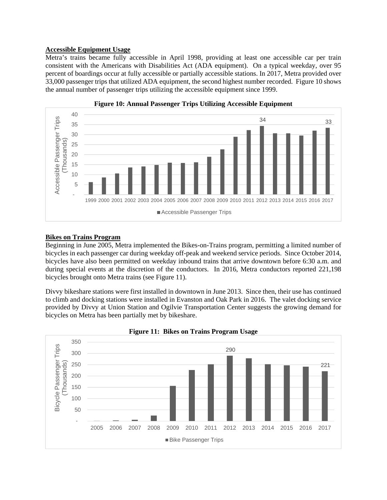## **Accessible Equipment Usage**

Metra's trains became fully accessible in April 1998, providing at least one accessible car per train consistent with the Americans with Disabilities Act (ADA equipment). On a typical weekday, over 95 percent of boardings occur at fully accessible or partially accessible stations. In 2017, Metra provided over 33,000 passenger trips that utilized ADA equipment, the second highest number recorded. Figure 10 shows the annual number of passenger trips utilizing the accessible equipment since 1999.





#### **Bikes on Trains Program**

Beginning in June 2005, Metra implemented the Bikes-on-Trains program, permitting a limited number of bicycles in each passenger car during weekday off-peak and weekend service periods. Since October 2014, bicycles have also been permitted on weekday inbound trains that arrive downtown before 6:30 a.m. and during special events at the discretion of the conductors. In 2016, Metra conductors reported 221,198 bicycles brought onto Metra trains (see Figure 11).

Divvy bikeshare stations were first installed in downtown in June 2013. Since then, their use has continued to climb and docking stations were installed in Evanston and Oak Park in 2016. The valet docking service provided by Divvy at Union Station and Ogilvie Transportation Center suggests the growing demand for bicycles on Metra has been partially met by bikeshare.



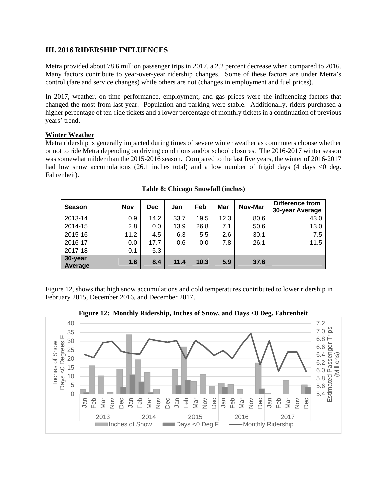## **III. 2016 RIDERSHIP INFLUENCES**

Metra provided about 78.6 million passenger trips in 2017, a 2.2 percent decrease when compared to 2016. Many factors contribute to year-over-year ridership changes. Some of these factors are under Metra's control (fare and service changes) while others are not (changes in employment and fuel prices).

In 2017, weather, on-time performance, employment, and gas prices were the influencing factors that changed the most from last year. Population and parking were stable. Additionally, riders purchased a higher percentage of ten-ride tickets and a lower percentage of monthly tickets in a continuation of previous years' trend.

## **Winter Weather**

Metra ridership is generally impacted during times of severe winter weather as commuters choose whether or not to ride Metra depending on driving conditions and/or school closures. The 2016-2017 winter season was somewhat milder than the 2015-2016 season. Compared to the last five years, the winter of 2016-2017 had low snow accumulations (26.1 inches total) and a low number of frigid days (4 days  $\lt 0$  deg. Fahrenheit).

| <b>Season</b>      | <b>Nov</b> | <b>Dec</b> | Jan  | Feb  | Mar  | Nov-Mar | <b>Difference from</b><br>30-year Average |
|--------------------|------------|------------|------|------|------|---------|-------------------------------------------|
| 2013-14            | 0.9        | 14.2       | 33.7 | 19.5 | 12.3 | 80.6    | 43.0                                      |
| 2014-15            | 2.8        | 0.0        | 13.9 | 26.8 | 7.1  | 50.6    | 13.0                                      |
| 2015-16            | 11.2       | 4.5        | 6.3  | 5.5  | 2.6  | 30.1    | $-7.5$                                    |
| 2016-17            | 0.0        | 17.7       | 0.6  | 0.0  | 7.8  | 26.1    | $-11.5$                                   |
| 2017-18            | 0.1        | 5.3        |      |      |      |         |                                           |
| 30-year<br>Average | 1.6        | 8.4        | 11.4 | 10.3 | 5.9  | 37.6    |                                           |

**Table 8: Chicago Snowfall (inches)** 

Figure 12, shows that high snow accumulations and cold temperatures contributed to lower ridership in February 2015, December 2016, and December 2017.



**Figure 12: Monthly Ridership, Inches of Snow, and Days <0 Deg. Fahrenheit**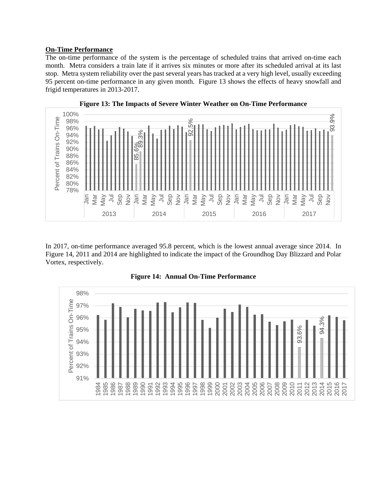#### **On-Time Performance**

The on-time performance of the system is the percentage of scheduled trains that arrived on-time each month. Metra considers a train late if it arrives six minutes or more after its scheduled arrival at its last stop. Metra system reliability over the past several years has tracked at a very high level, usually exceeding 95 percent on-time performance in any given month. Figure 13 shows the effects of heavy snowfall and frigid temperatures in 2013-2017.



In 2017, on-time performance averaged 95.8 percent, which is the lowest annual average since 2014. In Figure 14, 2011 and 2014 are highlighted to indicate the impact of the Groundhog Day Blizzard and Polar Vortex, respectively.

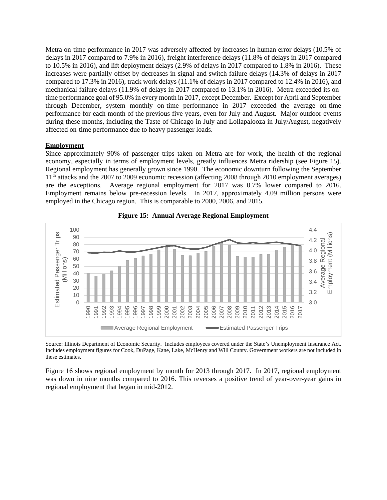Metra on-time performance in 2017 was adversely affected by increases in human error delays (10.5% of delays in 2017 compared to 7.9% in 2016), freight interference delays (11.8% of delays in 2017 compared to 10.5% in 2016), and lift deployment delays (2.9% of delays in 2017 compared to 1.8% in 2016). These increases were partially offset by decreases in signal and switch failure delays (14.3% of delays in 2017 compared to 17.3% in 2016), track work delays (11.1% of delays in 2017 compared to 12.4% in 2016), and mechanical failure delays (11.9% of delays in 2017 compared to 13.1% in 2016). Metra exceeded its ontime performance goal of 95.0% in every month in 2017, except December. Except for April and September through December, system monthly on-time performance in 2017 exceeded the average on-time performance for each month of the previous five years, even for July and August. Major outdoor events during these months, including the Taste of Chicago in July and Lollapalooza in July/August, negatively affected on-time performance due to heavy passenger loads.

#### **Employment**

Since approximately 90% of passenger trips taken on Metra are for work, the health of the regional economy, especially in terms of employment levels, greatly influences Metra ridership (see Figure 15). Regional employment has generally grown since 1990. The economic downturn following the September 11<sup>th</sup> attacks and the 2007 to 2009 economic recession (affecting 2008 through 2010 employment averages) are the exceptions. Average regional employment for 2017 was 0.7% lower compared to 2016. Employment remains below pre-recession levels. In 2017, approximately 4.09 million persons were employed in the Chicago region. This is comparable to 2000, 2006, and 2015.





Source: Illinois Department of Economic Security. Includes employees covered under the State's Unemployment Insurance Act. Includes employment figures for Cook, DuPage, Kane, Lake, McHenry and Will County. Government workers are not included in these estimates.

Figure 16 shows regional employment by month for 2013 through 2017. In 2017, regional employment was down in nine months compared to 2016. This reverses a positive trend of year-over-year gains in regional employment that began in mid-2012.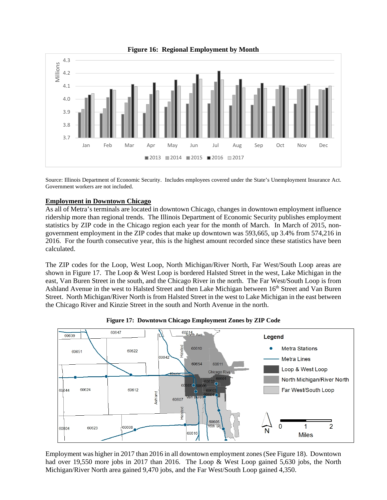

**Figure 16: Regional Employment by Month** 

Source: Illinois Department of Economic Security. Includes employees covered under the State's Unemployment Insurance Act. Government workers are not included.

#### **Employment in Downtown Chicago**

As all of Metra's terminals are located in downtown Chicago, changes in downtown employment influence ridership more than regional trends. The Illinois Department of Economic Security publishes employment statistics by ZIP code in the Chicago region each year for the month of March. In March of 2015, nongovernment employment in the ZIP codes that make up downtown was 593,665, up 3.4% from 574,216 in 2016. For the fourth consecutive year, this is the highest amount recorded since these statistics have been calculated.

The ZIP codes for the Loop, West Loop, North Michigan/River North, Far West/South Loop areas are shown in Figure 17. The Loop & West Loop is bordered Halsted Street in the west, Lake Michigan in the east, Van Buren Street in the south, and the Chicago River in the north. The Far West/South Loop is from Ashland Avenue in the west to Halsted Street and then Lake Michigan between 16<sup>th</sup> Street and Van Buren Street. North Michigan/River North is from Halsted Street in the west to Lake Michigan in the east between the Chicago River and Kinzie Street in the south and North Avenue in the north.



**Figure 17: Downtown Chicago Employment Zones by ZIP Code** 

Employment was higher in 2017 than 2016 in all downtown employment zones (See Figure 18). Downtown had over 19,550 more jobs in 2017 than 2016. The Loop & West Loop gained 5,630 jobs, the North Michigan/River North area gained 9,470 jobs, and the Far West/South Loop gained 4,350.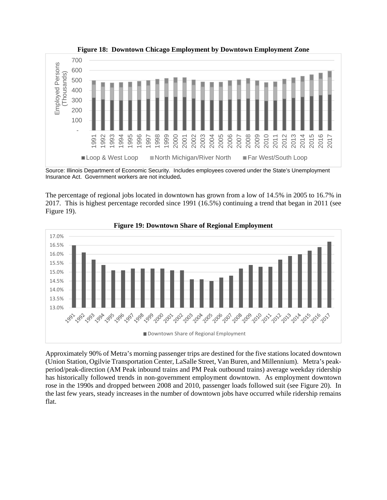

**Figure 18: Downtown Chicago Employment by Downtown Employment Zone** 

Source: Illinois Department of Economic Security. Includes employees covered under the State's Unemployment Insurance Act. Government workers are not included**.**

The percentage of regional jobs located in downtown has grown from a low of 14.5% in 2005 to 16.7% in 2017. This is highest percentage recorded since 1991 (16.5%) continuing a trend that began in 2011 (see Figure 19).



**Figure 19: Downtown Share of Regional Employment**

Approximately 90% of Metra's morning passenger trips are destined for the five stations located downtown (Union Station, Ogilvie Transportation Center, LaSalle Street, Van Buren, and Millennium). Metra's peakperiod/peak-direction (AM Peak inbound trains and PM Peak outbound trains) average weekday ridership has historically followed trends in non-government employment downtown. As employment downtown rose in the 1990s and dropped between 2008 and 2010, passenger loads followed suit (see Figure 20). In the last few years, steady increases in the number of downtown jobs have occurred while ridership remains flat.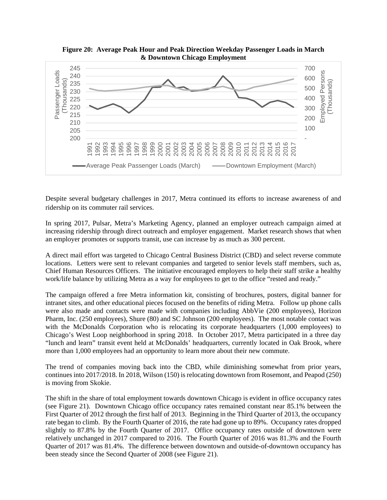

**Figure 20: Average Peak Hour and Peak Direction Weekday Passenger Loads in March & Downtown Chicago Employment** 

Despite several budgetary challenges in 2017, Metra continued its efforts to increase awareness of and ridership on its commuter rail services.

In spring 2017, Pulsar, Metra's Marketing Agency, planned an employer outreach campaign aimed at increasing ridership through direct outreach and employer engagement. Market research shows that when an employer promotes or supports transit, use can increase by as much as 300 percent.

A direct mail effort was targeted to Chicago Central Business District (CBD) and select reverse commute locations. Letters were sent to relevant companies and targeted to senior levels staff members, such as, Chief Human Resources Officers. The initiative encouraged employers to help their staff strike a healthy work/life balance by utilizing Metra as a way for employees to get to the office "rested and ready."

The campaign offered a free Metra information kit, consisting of brochures, posters, digital banner for intranet sites, and other educational pieces focused on the benefits of riding Metra. Follow up phone calls were also made and contacts were made with companies including AbbVie (200 employees), Horizon Pharm, Inc. (250 employees), Shure (80) and SC Johnson (200 employees). The most notable contact was with the McDonalds Corporation who is relocating its corporate headquarters (1,000 employees) to Chicago's West Loop neighborhood in spring 2018. In October 2017, Metra participated in a three day "lunch and learn" transit event held at McDonalds' headquarters, currently located in Oak Brook, where more than 1,000 employees had an opportunity to learn more about their new commute.

The trend of companies moving back into the CBD, while diminishing somewhat from prior years, continues into 2017/2018. In 2018, Wilson (150) is relocating downtown from Rosemont, and Peapod (250) is moving from Skokie.

The shift in the share of total employment towards downtown Chicago is evident in office occupancy rates (see Figure 21). Downtown Chicago office occupancy rates remained constant near 85.1% between the First Quarter of 2012 through the first half of 2013. Beginning in the Third Quarter of 2013, the occupancy rate began to climb. By the Fourth Quarter of 2016, the rate had gone up to 89%. Occupancy rates dropped slightly to 87.8% by the Fourth Quarter of 2017. Office occupancy rates outside of downtown were relatively unchanged in 2017 compared to 2016. The Fourth Quarter of 2016 was 81.3% and the Fourth Quarter of 2017 was 81.4%. The difference between downtown and outside-of-downtown occupancy has been steady since the Second Quarter of 2008 (see Figure 21).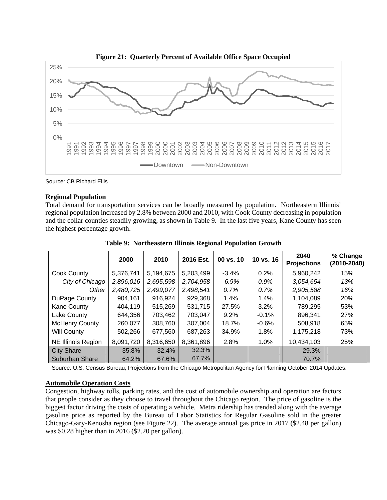

**Figure 21: Quarterly Percent of Available Office Space Occupied** 

Source: CB Richard Ellis

#### **Regional Population**

Total demand for transportation services can be broadly measured by population. Northeastern Illinois' regional population increased by 2.8% between 2000 and 2010, with Cook County decreasing in population and the collar counties steadily growing, as shown in Table 9. In the last five years, Kane County has seen the highest percentage growth.

|                           | 2000      | 2010      | 2016 Est. | $00 \text{ vs. } 10$ | 10 vs. 16 | 2040<br><b>Projections</b> | % Change<br>(2010-2040) |
|---------------------------|-----------|-----------|-----------|----------------------|-----------|----------------------------|-------------------------|
| Cook County               | 5,376,741 | 5,194,675 | 5,203,499 | $-3.4%$              | 0.2%      | 5,960,242                  | 15%                     |
| City of Chicago           | 2,896,016 | 2,695,598 | 2,704,958 | $-6.9%$              | 0.9%      | 3,054,654                  | 13%                     |
| Other                     | 2,480,725 | 2,499,077 | 2,498,541 | 0.7%                 | 0.7%      | 2,905,588                  | 16%                     |
| DuPage County             | 904,161   | 916,924   | 929,368   | 1.4%                 | 1.4%      | 1,104,089                  | <b>20%</b>              |
| <b>Kane County</b>        | 404,119   | 515.269   | 531,715   | 27.5%                | $3.2\%$   | 789,295                    | 53%                     |
| Lake County               | 644,356   | 703,462   | 703,047   | 9.2%                 | $-0.1%$   | 896,341                    | 27%                     |
| <b>McHenry County</b>     | 260,077   | 308,760   | 307,004   | 18.7%                | $-0.6%$   | 508,918                    | 65%                     |
| <b>Will County</b>        | 502,266   | 677,560   | 687,263   | 34.9%                | 1.8%      | 1,175,218                  | 73%                     |
| <b>NE Illinois Region</b> | 8,091,720 | 8,316,650 | 8,361,896 | 2.8%                 | 1.0%      | 10,434,103                 | 25%                     |
| <b>City Share</b>         | 35.8%     | 32.4%     | 32.3%     |                      |           | 29.3%                      |                         |
| <b>Suburban Share</b>     | 64.2%     | 67.6%     | 67.7%     |                      |           | 70.7%                      |                         |

**Table 9: Northeastern Illinois Regional Population Growth** 

Source: U.S. Census Bureau; Projections from the Chicago Metropolitan Agency for Planning October 2014 Updates.

## **Automobile Operation Costs**

Congestion, highway tolls, parking rates, and the cost of automobile ownership and operation are factors that people consider as they choose to travel throughout the Chicago region. The price of gasoline is the biggest factor driving the costs of operating a vehicle. Metra ridership has trended along with the average gasoline price as reported by the Bureau of Labor Statistics for Regular Gasoline sold in the greater Chicago-Gary-Kenosha region (see Figure 22). The average annual gas price in 2017 (\$2.48 per gallon) was \$0.28 higher than in 2016 (\$2.20 per gallon).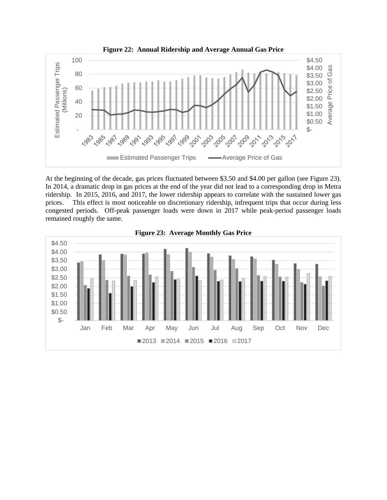

At the beginning of the decade, gas prices fluctuated between \$3.50 and \$4.00 per gallon (see Figure 23). In 2014, a dramatic drop in gas prices at the end of the year did not lead to a corresponding drop in Metra ridership. In 2015, 2016, and 2017, the lower ridership appears to correlate with the sustained lower gas prices. This effect is most noticeable on discretionary ridership, infrequent trips that occur during less congested periods. Off-peak passenger loads were down in 2017 while peak-period passenger loads remained roughly the same.



**Figure 23: Average Monthly Gas Price**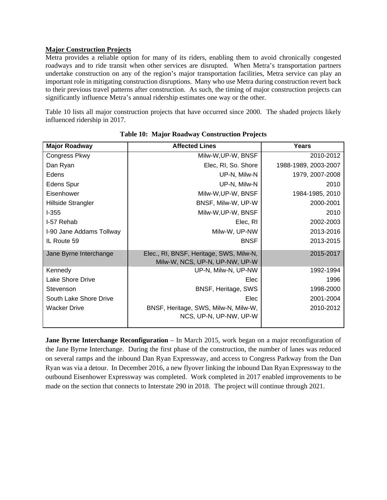## **Major Construction Projects**

Metra provides a reliable option for many of its riders, enabling them to avoid chronically congested roadways and to ride transit when other services are disrupted. When Metra's transportation partners undertake construction on any of the region's major transportation facilities, Metra service can play an important role in mitigating construction disruptions. Many who use Metra during construction revert back to their previous travel patterns after construction. As such, the timing of major construction projects can significantly influence Metra's annual ridership estimates one way or the other.

Table 10 lists all major construction projects that have occurred since 2000. The shaded projects likely influenced ridership in 2017.

| <b>Major Roadway</b>     | <b>Affected Lines</b>                                                     | Years                |
|--------------------------|---------------------------------------------------------------------------|----------------------|
| Congress Pkwy            | Milw-W, UP-W, BNSF                                                        | 2010-2012            |
| Dan Ryan                 | Elec, RI, So. Shore                                                       | 1988-1989, 2003-2007 |
| Edens                    | UP-N, Milw-N                                                              | 1979, 2007-2008      |
| <b>Edens Spur</b>        | UP-N, Milw-N                                                              | 2010                 |
| Eisenhower               | Milw-W, UP-W, BNSF                                                        | 1984-1985, 2010      |
| Hillside Strangler       | BNSF, Milw-W, UP-W                                                        | 2000-2001            |
| $1-355$                  | Milw-W, UP-W, BNSF                                                        | 2010                 |
| I-57 Rehab               | Elec, RI                                                                  | 2002-2003            |
| I-90 Jane Addams Tollway | Milw-W, UP-NW                                                             | 2013-2016            |
| IL Route 59              | <b>BNSF</b>                                                               | 2013-2015            |
| Jane Byrne Interchange   | Elec., RI, BNSF, Heritage, SWS, Milw-N,<br>Milw-W, NCS, UP-N, UP-NW, UP-W | 2015-2017            |
| Kennedy                  | UP-N, Milw-N, UP-NW                                                       | 1992-1994            |
| Lake Shore Drive         | Elec                                                                      | 1996                 |
| Stevenson                | <b>BNSF, Heritage, SWS</b>                                                | 1998-2000            |
| South Lake Shore Drive   | Elec                                                                      | 2001-2004            |
| <b>Wacker Drive</b>      | BNSF, Heritage, SWS, Milw-N, Milw-W,<br>NCS, UP-N, UP-NW, UP-W            | 2010-2012            |

**Table 10: Major Roadway Construction Projects** 

**Jane Byrne Interchange Reconfiguration** – In March 2015, work began on a major reconfiguration of the Jane Byrne Interchange. During the first phase of the construction, the number of lanes was reduced on several ramps and the inbound Dan Ryan Expressway, and access to Congress Parkway from the Dan Ryan was via a detour. In December 2016, a new flyover linking the inbound Dan Ryan Expressway to the outbound Eisenhower Expressway was completed. Work completed in 2017 enabled improvements to be made on the section that connects to Interstate 290 in 2018. The project will continue through 2021.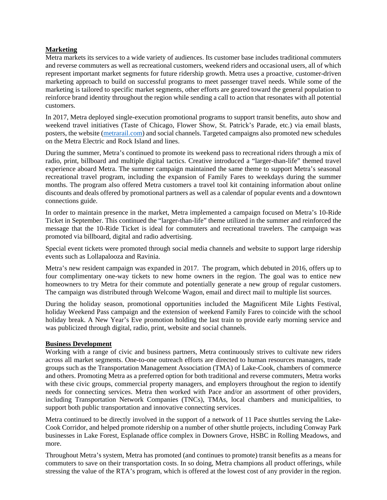## **Marketing**

Metra markets its services to a wide variety of audiences. Its customer base includes traditional commuters and reverse commuters as well as recreational customers, weekend riders and occasional users, all of which represent important market segments for future ridership growth. Metra uses a proactive, customer-driven marketing approach to build on successful programs to meet passenger travel needs. While some of the marketing is tailored to specific market segments, other efforts are geared toward the general population to reinforce brand identity throughout the region while sending a call to action that resonates with all potential customers.

In 2017, Metra deployed single-execution promotional programs to support transit benefits, auto show and weekend travel initiatives (Taste of Chicago, Flower Show, St. Patrick's Parade, etc.) via email blasts, posters, the website (metrarail.com) and social channels. Targeted campaigns also promoted new schedules on the Metra Electric and Rock Island and lines.

During the summer, Metra's continued to promote its weekend pass to recreational riders through a mix of radio, print, billboard and multiple digital tactics. Creative introduced a "larger-than-life" themed travel experience aboard Metra. The summer campaign maintained the same theme to support Metra's seasonal recreational travel program, including the expansion of Family Fares to weekdays during the summer months. The program also offered Metra customers a travel tool kit containing information about online discounts and deals offered by promotional partners as well as a calendar of popular events and a downtown connections guide.

In order to maintain presence in the market, Metra implemented a campaign focused on Metra's 10-Ride Ticket in September. This continued the "larger-than-life" theme utilized in the summer and reinforced the message that the 10-Ride Ticket is ideal for commuters and recreational travelers. The campaign was promoted via billboard, digital and radio advertising.

Special event tickets were promoted through social media channels and website to support large ridership events such as Lollapalooza and Ravinia.

Metra's new resident campaign was expanded in 2017. The program, which debuted in 2016, offers up to four complimentary one-way tickets to new home owners in the region. The goal was to entice new homeowners to try Metra for their commute and potentially generate a new group of regular customers. The campaign was distributed through Welcome Wagon, email and direct mail to multiple list sources.

During the holiday season, promotional opportunities included the Magnificent Mile Lights Festival, holiday Weekend Pass campaign and the extension of weekend Family Fares to coincide with the school holiday break. A New Year's Eve promotion holding the last train to provide early morning service and was publicized through digital, radio, print, website and social channels.

## **Business Development**

Working with a range of civic and business partners, Metra continuously strives to cultivate new riders across all market segments. One-to-one outreach efforts are directed to human resources managers, trade groups such as the Transportation Management Association (TMA) of Lake-Cook, chambers of commerce and others. Promoting Metra as a preferred option for both traditional and reverse commuters, Metra works with these civic groups, commercial property managers, and employers throughout the region to identify needs for connecting services. Metra then worked with Pace and/or an assortment of other providers, including Transportation Network Companies (TNCs), TMAs, local chambers and municipalities, to support both public transportation and innovative connecting services.

Metra continued to be directly involved in the support of a network of 11 Pace shuttles serving the Lake-Cook Corridor, and helped promote ridership on a number of other shuttle projects, including Conway Park businesses in Lake Forest, Esplanade office complex in Downers Grove, HSBC in Rolling Meadows, and more.

Throughout Metra's system, Metra has promoted (and continues to promote) transit benefits as a means for commuters to save on their transportation costs. In so doing, Metra champions all product offerings, while stressing the value of the RTA's program, which is offered at the lowest cost of any provider in the region.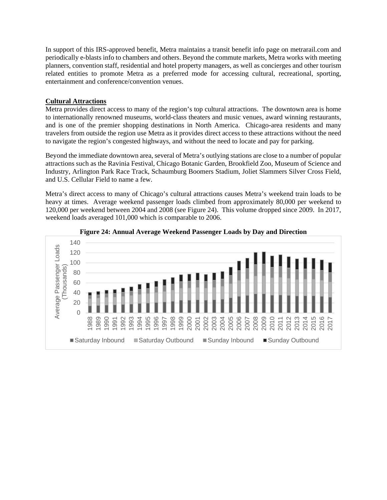In support of this IRS-approved benefit, Metra maintains a transit benefit info page on metrarail.com and periodically e-blasts info to chambers and others. Beyond the commute markets, Metra works with meeting planners, convention staff, residential and hotel property managers, as well as concierges and other tourism related entities to promote Metra as a preferred mode for accessing cultural, recreational, sporting, entertainment and conference/convention venues.

## **Cultural Attractions**

Metra provides direct access to many of the region's top cultural attractions. The downtown area is home to internationally renowned museums, world-class theaters and music venues, award winning restaurants, and is one of the premier shopping destinations in North America. Chicago-area residents and many travelers from outside the region use Metra as it provides direct access to these attractions without the need to navigate the region's congested highways, and without the need to locate and pay for parking.

Beyond the immediate downtown area, several of Metra's outlying stations are close to a number of popular attractions such as the Ravinia Festival, Chicago Botanic Garden, Brookfield Zoo, Museum of Science and Industry, Arlington Park Race Track, Schaumburg Boomers Stadium, Joliet Slammers Silver Cross Field, and U.S. Cellular Field to name a few.

Metra's direct access to many of Chicago's cultural attractions causes Metra's weekend train loads to be heavy at times. Average weekend passenger loads climbed from approximately 80,000 per weekend to 120,000 per weekend between 2004 and 2008 (see Figure 24). This volume dropped since 2009. In 2017, weekend loads averaged 101,000 which is comparable to 2006.



**Figure 24: Annual Average Weekend Passenger Loads by Day and Direction**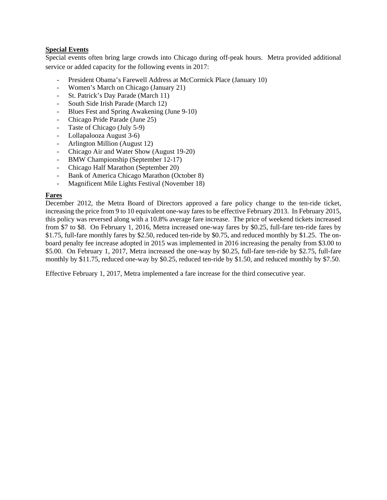## **Special Events**

Special events often bring large crowds into Chicago during off-peak hours. Metra provided additional service or added capacity for the following events in 2017:

- President Obama's Farewell Address at McCormick Place (January 10)
- Women's March on Chicago (January 21)
- St. Patrick's Day Parade (March 11)
- South Side Irish Parade (March 12)
- Blues Fest and Spring Awakening (June 9-10)
- Chicago Pride Parade (June 25)
- Taste of Chicago (July 5-9)
- Lollapalooza August 3-6)
- Arlington Million (August 12)
- Chicago Air and Water Show (August 19-20)
- BMW Championship (September 12-17)
- Chicago Half Marathon (September 20)
- Bank of America Chicago Marathon (October 8)
- Magnificent Mile Lights Festival (November 18)

## **Fares**

December 2012, the Metra Board of Directors approved a fare policy change to the ten-ride ticket, increasing the price from 9 to 10 equivalent one-way fares to be effective February 2013. In February 2015, this policy was reversed along with a 10.8% average fare increase. The price of weekend tickets increased from \$7 to \$8. On February 1, 2016, Metra increased one-way fares by \$0.25, full-fare ten-ride fares by \$1.75, full-fare monthly fares by \$2.50, reduced ten-ride by \$0.75, and reduced monthly by \$1.25. The onboard penalty fee increase adopted in 2015 was implemented in 2016 increasing the penalty from \$3.00 to \$5.00. On February 1, 2017, Metra increased the one-way by \$0.25, full-fare ten-ride by \$2.75, full-fare monthly by \$11.75, reduced one-way by \$0.25, reduced ten-ride by \$1.50, and reduced monthly by \$7.50.

Effective February 1, 2017, Metra implemented a fare increase for the third consecutive year.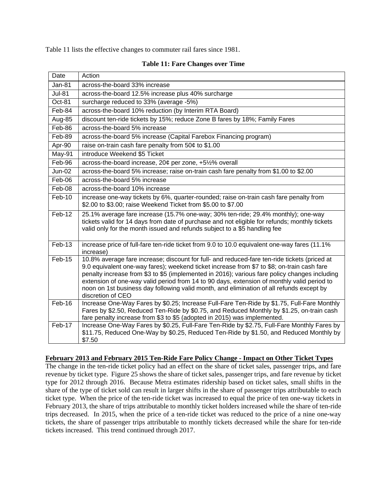Table 11 lists the effective changes to commuter rail fares since 1981.

| Date          | Action                                                                                                                                                                                                                                                                                                                                                                                                                                                                                                     |
|---------------|------------------------------------------------------------------------------------------------------------------------------------------------------------------------------------------------------------------------------------------------------------------------------------------------------------------------------------------------------------------------------------------------------------------------------------------------------------------------------------------------------------|
| <b>Jan-81</b> | across-the-board 33% increase                                                                                                                                                                                                                                                                                                                                                                                                                                                                              |
| <b>Jul-81</b> | across-the-board 12.5% increase plus 40% surcharge                                                                                                                                                                                                                                                                                                                                                                                                                                                         |
| Oct-81        | surcharge reduced to 33% (average -5%)                                                                                                                                                                                                                                                                                                                                                                                                                                                                     |
| Feb-84        | across-the-board 10% reduction (by Interim RTA Board)                                                                                                                                                                                                                                                                                                                                                                                                                                                      |
| Aug-85        | discount ten-ride tickets by 15%; reduce Zone B fares by 18%; Family Fares                                                                                                                                                                                                                                                                                                                                                                                                                                 |
| Feb-86        | across-the-board 5% increase                                                                                                                                                                                                                                                                                                                                                                                                                                                                               |
| Feb-89        | across-the-board 5% increase (Capital Farebox Financing program)                                                                                                                                                                                                                                                                                                                                                                                                                                           |
| Apr-90        | raise on-train cash fare penalty from 50¢ to \$1.00                                                                                                                                                                                                                                                                                                                                                                                                                                                        |
| May-91        | introduce Weekend \$5 Ticket                                                                                                                                                                                                                                                                                                                                                                                                                                                                               |
| Feb-96        | across-the-board increase, 20¢ per zone, +5½% overall                                                                                                                                                                                                                                                                                                                                                                                                                                                      |
| <b>Jun-02</b> | across-the-board 5% increase; raise on-train cash fare penalty from \$1.00 to \$2.00                                                                                                                                                                                                                                                                                                                                                                                                                       |
| Feb-06        | across-the-board 5% increase                                                                                                                                                                                                                                                                                                                                                                                                                                                                               |
| Feb-08        | across-the-board 10% increase                                                                                                                                                                                                                                                                                                                                                                                                                                                                              |
| Feb-10        | increase one-way tickets by 6%, quarter-rounded; raise on-train cash fare penalty from<br>\$2.00 to \$3.00; raise Weekend Ticket from \$5.00 to \$7.00                                                                                                                                                                                                                                                                                                                                                     |
| $Feb-12$      | 25.1% average fare increase (15.7% one-way; 30% ten-ride; 29.4% monthly); one-way<br>tickets valid for 14 days from date of purchase and not eligible for refunds; monthly tickets<br>valid only for the month issued and refunds subject to a \$5 handling fee                                                                                                                                                                                                                                            |
| Feb-13        | increase price of full-fare ten-ride ticket from 9.0 to 10.0 equivalent one-way fares (11.1%<br>increase)                                                                                                                                                                                                                                                                                                                                                                                                  |
| Feb-15        | 10.8% average fare increase; discount for full- and reduced-fare ten-ride tickets (priced at<br>9.0 equivalent one-way fares); weekend ticket increase from \$7 to \$8; on-train cash fare<br>penalty increase from \$3 to \$5 (implemented in 2016); various fare policy changes including<br>extension of one-way valid period from 14 to 90 days, extension of monthly valid period to<br>noon on 1st business day following valid month, and elimination of all refunds except by<br>discretion of CEO |
| Feb-16        | Increase One-Way Fares by \$0.25; Increase Full-Fare Ten-Ride by \$1.75, Full-Fare Monthly<br>Fares by \$2.50, Reduced Ten-Ride by \$0.75, and Reduced Monthly by \$1.25, on-train cash<br>fare penalty increase from \$3 to \$5 (adopted in 2015) was implemented.                                                                                                                                                                                                                                        |
| Feb-17        | Increase One-Way Fares by \$0.25, Full-Fare Ten-Ride by \$2.75, Full-Fare Monthly Fares by<br>\$11.75, Reduced One-Way by \$0.25, Reduced Ten-Ride by \$1.50, and Reduced Monthly by<br>\$7.50                                                                                                                                                                                                                                                                                                             |

#### **Table 11: Fare Changes over Time**

#### **February 2013 and February 2015 Ten-Ride Fare Policy Change - Impact on Other Ticket Types**

The change in the ten-ride ticket policy had an effect on the share of ticket sales, passenger trips, and fare revenue by ticket type. Figure 25 shows the share of ticket sales, passenger trips, and fare revenue by ticket type for 2012 through 2016. Because Metra estimates ridership based on ticket sales, small shifts in the share of the type of ticket sold can result in larger shifts in the share of passenger trips attributable to each ticket type. When the price of the ten-ride ticket was increased to equal the price of ten one-way tickets in February 2013, the share of trips attributable to monthly ticket holders increased while the share of ten-ride trips decreased. In 2015, when the price of a ten-ride ticket was reduced to the price of a nine one-way tickets, the share of passenger trips attributable to monthly tickets decreased while the share for ten-ride tickets increased. This trend continued through 2017.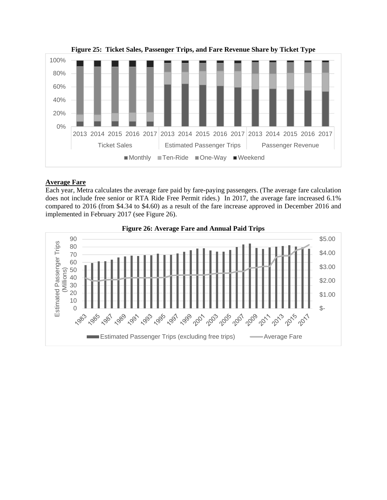

**Figure 25: Ticket Sales, Passenger Trips, and Fare Revenue Share by Ticket Type** 

## **Average Fare**

Each year, Metra calculates the average fare paid by fare-paying passengers. (The average fare calculation does not include free senior or RTA Ride Free Permit rides.) In 2017, the average fare increased 6.1% compared to 2016 (from \$4.34 to \$4.60) as a result of the fare increase approved in December 2016 and implemented in February 2017 (see Figure 26).



**Figure 26: Average Fare and Annual Paid Trips**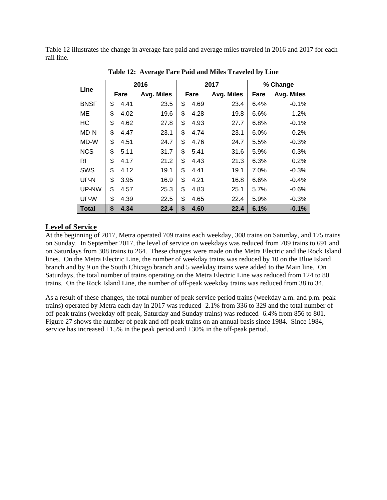Table 12 illustrates the change in average fare paid and average miles traveled in 2016 and 2017 for each rail line.

| Line         |            | 2016       |            | 2017       |      | % Change   |  |
|--------------|------------|------------|------------|------------|------|------------|--|
|              | Fare       | Avg. Miles | Fare       | Avg. Miles | Fare | Avg. Miles |  |
| <b>BNSF</b>  | \$<br>4.41 | 23.5       | \$<br>4.69 | 23.4       | 6.4% | $-0.1%$    |  |
| <b>ME</b>    | \$<br>4.02 | 19.6       | \$<br>4.28 | 19.8       | 6.6% | 1.2%       |  |
| HC           | \$<br>4.62 | 27.8       | \$<br>4.93 | 27.7       | 6.8% | $-0.1%$    |  |
| MD-N         | \$<br>4.47 | 23.1       | \$<br>4.74 | 23.1       | 6.0% | $-0.2%$    |  |
| MD-W         | \$<br>4.51 | 24.7       | \$<br>4.76 | 24.7       | 5.5% | $-0.3%$    |  |
| <b>NCS</b>   | \$<br>5.11 | 31.7       | \$<br>5.41 | 31.6       | 5.9% | $-0.3%$    |  |
| RI           | \$<br>4.17 | 21.2       | \$<br>4.43 | 21.3       | 6.3% | 0.2%       |  |
| SWS          | \$<br>4.12 | 19.1       | \$<br>4.41 | 19.1       | 7.0% | $-0.3%$    |  |
| UP-N         | \$<br>3.95 | 16.9       | \$<br>4.21 | 16.8       | 6.6% | $-0.4%$    |  |
| UP-NW        | \$<br>4.57 | 25.3       | \$<br>4.83 | 25.1       | 5.7% | $-0.6%$    |  |
| UP-W         | \$<br>4.39 | 22.5       | \$<br>4.65 | 22.4       | 5.9% | $-0.3%$    |  |
| <b>Total</b> | \$<br>4.34 | 22.4       | \$<br>4.60 | 22.4       | 6.1% | $-0.1%$    |  |

 **Table 12: Average Fare Paid and Miles Traveled by Line** 

## **Level of Service**

At the beginning of 2017, Metra operated 709 trains each weekday, 308 trains on Saturday, and 175 trains on Sunday. In September 2017, the level of service on weekdays was reduced from 709 trains to 691 and on Saturdays from 308 trains to 264. These changes were made on the Metra Electric and the Rock Island lines. On the Metra Electric Line, the number of weekday trains was reduced by 10 on the Blue Island branch and by 9 on the South Chicago branch and 5 weekday trains were added to the Main line. On Saturdays, the total number of trains operating on the Metra Electric Line was reduced from 124 to 80 trains. On the Rock Island Line, the number of off-peak weekday trains was reduced from 38 to 34.

As a result of these changes, the total number of peak service period trains (weekday a.m. and p.m. peak trains) operated by Metra each day in 2017 was reduced -2.1% from 336 to 329 and the total number of off-peak trains (weekday off-peak, Saturday and Sunday trains) was reduced -6.4% from 856 to 801. Figure 27 shows the number of peak and off-peak trains on an annual basis since 1984. Since 1984, service has increased +15% in the peak period and +30% in the off-peak period.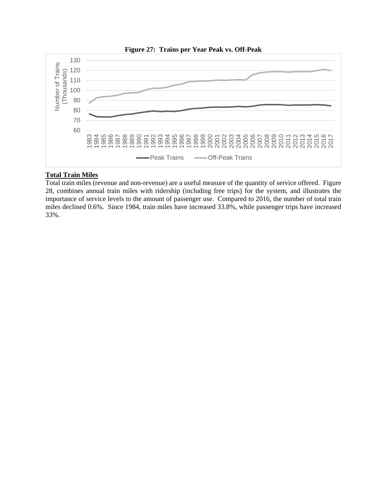

# **Total Train Miles**

Total train miles (revenue and non-revenue) are a useful measure of the quantity of service offered. Figure 28, combines annual train miles with ridership (including free trips) for the system, and illustrates the importance of service levels to the amount of passenger use. Compared to 2016, the number of total train miles declined 0.6%. Since 1984, train miles have increased 33.8%, while passenger trips have increased 33%.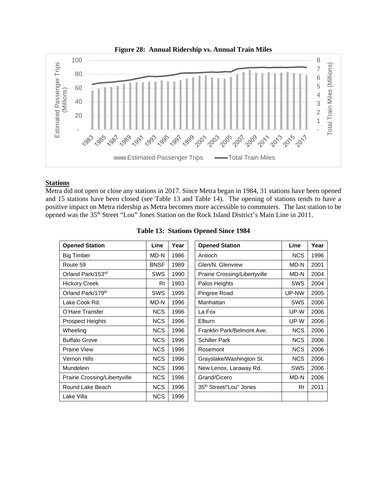

# **Stations**

Metra did not open or close any stations in 2017. Since Metra began in 1984, 31 stations have been opened and 15 stations have been closed (see Table 13 and Table 14). The opening of stations tends to have a positive impact on Metra ridership as Metra becomes more accessible to commuters. The last station to be opened was the 35<sup>th</sup> Street "Lou" Jones Station on the Rock Island District's Main Line in 2011.

| <b>Opened Station</b>         | Line        | Year | <b>Opened Station</b>         | Line       | Year |
|-------------------------------|-------------|------|-------------------------------|------------|------|
| <b>Big Timber</b>             | MD-N        | 1986 | Antioch                       | <b>NCS</b> | 1996 |
| Route 59                      | <b>BNSF</b> | 1989 | Glen/N. Glenview              | MD-N       | 2001 |
| Orland Park/153rd             | SWS         | 1990 | Prairie Crossing/Libertyville | MD-N       | 2004 |
| <b>Hickory Creek</b>          | RI          | 1993 | Palos Heights                 | <b>SWS</b> | 2004 |
| Orland Park/179th             | SWS         | 1995 | Pingree Road                  | UP-NW      | 2005 |
| Lake Cook Rd.                 | MD-N        | 1996 | Manhattan                     | <b>SWS</b> | 2006 |
| O'Hare Transfer               | <b>NCS</b>  | 1996 | La Fox                        | UP-W       | 2006 |
| <b>Prospect Heights</b>       | <b>NCS</b>  | 1996 | Elburn                        | UP-W       | 2006 |
| Wheeling                      | <b>NCS</b>  | 1996 | Franklin Park/Belmont Ave.    | <b>NCS</b> | 2006 |
| <b>Buffalo Grove</b>          | <b>NCS</b>  | 1996 | <b>Schiller Park</b>          | <b>NCS</b> | 2006 |
| <b>Prairie View</b>           | <b>NCS</b>  | 1996 | Rosemont                      | <b>NCS</b> | 2006 |
| <b>Vernon Hills</b>           | <b>NCS</b>  | 1996 | Grayslake/Washington St.      | <b>NCS</b> | 2006 |
| <b>Mundelein</b>              | <b>NCS</b>  | 1996 | New Lenox, Laraway Rd.        | <b>SWS</b> | 2006 |
| Prairie Crossing/Libertyville | <b>NCS</b>  | 1996 | Grand/Cicero                  | MD-N       | 2006 |
| Round Lake Beach              | <b>NCS</b>  | 1996 | 35th Street/"Lou" Jones       | <b>RI</b>  | 2011 |
| Lake Villa                    | <b>NCS</b>  | 1996 |                               |            |      |

|  |  |  | Table 13: Stations Opened Since 1984 |  |
|--|--|--|--------------------------------------|--|
|--|--|--|--------------------------------------|--|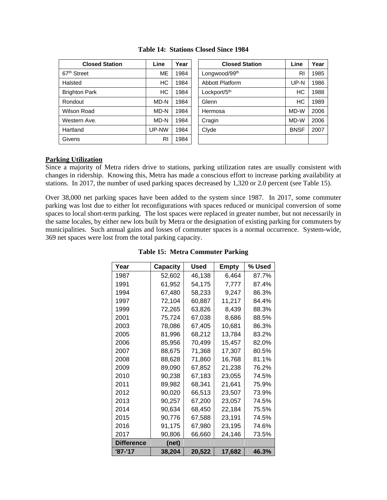| <b>Closed Station</b>   | Line      | Year | <b>Closed Station</b>     | Line        | Year |
|-------------------------|-----------|------|---------------------------|-------------|------|
| 67 <sup>th</sup> Street | <b>ME</b> | 1984 | Longwood/99 <sup>th</sup> | RI          | 1985 |
| Halsted                 | HC        | 1984 | Abbott Platform           | UP-N        | 1986 |
| <b>Brighton Park</b>    | HC        | 1984 | Lockport/5th              | НC          | 1988 |
| Rondout                 | MD-N      | 1984 | Glenn                     | HC          | 1989 |
| Wilson Road             | MD-N      | 1984 | Hermosa                   | MD-W        | 2006 |
| Western Ave.            | MD-N      | 1984 | Cragin                    | MD-W        | 2006 |
| Hartland                | UP-NW     | 1984 | Clyde                     | <b>BNSF</b> | 2007 |
| Givens                  | RI        | 1984 |                           |             |      |

| Table 14: Stations Closed Since 1984 |  |  |
|--------------------------------------|--|--|
|                                      |  |  |

| <b>Closed Station</b> | Line      | Year | <b>Closed Station</b>  | Line        | Year |
|-----------------------|-----------|------|------------------------|-------------|------|
| et                    | <b>ME</b> | 1984 | Longwood/99th          | RI          | 1985 |
|                       | НC        | 1984 | <b>Abbott Platform</b> | UP-N        | 1986 |
| Park                  | HC        | 1984 | Lockport/5th           | НC          | 1988 |
|                       | MD-N      | 1984 | Glenn                  | НC          | 1989 |
| रेoad                 | MD-N      | 1984 | Hermosa                | MD-W        | 2006 |
| ı Ave.                | MD-N      | 1984 | Cragin                 | MD-W        | 2006 |
|                       | UP-NW     | 1984 | Clyde                  | <b>BNSF</b> | 2007 |
|                       | RI        | 1984 |                        |             |      |

#### **Parking Utilization**

Since a majority of Metra riders drive to stations, parking utilization rates are usually consistent with changes in ridership. Knowing this, Metra has made a conscious effort to increase parking availability at stations. In 2017, the number of used parking spaces decreased by 1,320 or 2.0 percent (see Table 15).

Over 38,000 net parking spaces have been added to the system since 1987. In 2017, some commuter parking was lost due to either lot reconfigurations with spaces reduced or municipal conversion of some spaces to local short-term parking. The lost spaces were replaced in greater number, but not necessarily in the same locales, by either new lots built by Metra or the designation of existing parking for commuters by municipalities. Such annual gains and losses of commuter spaces is a normal occurrence. System-wide, 369 net spaces were lost from the total parking capacity.

| Year              | Capacity | Used   | Empty  | % Used |
|-------------------|----------|--------|--------|--------|
| 1987              | 52,602   | 46,138 | 6,464  | 87.7%  |
| 1991              | 61,952   | 54,175 | 7,777  | 87.4%  |
| 1994              | 67,480   | 58,233 | 9,247  | 86.3%  |
| 1997              | 72,104   | 60.887 | 11,217 | 84.4%  |
| 1999              | 72,265   | 63,826 | 8.439  | 88.3%  |
| 2001              | 75,724   | 67.038 | 8.686  | 88.5%  |
| 2003              | 78,086   | 67,405 | 10,681 | 86.3%  |
| 2005              | 81,996   | 68,212 | 13,784 | 83.2%  |
| 2006              | 85,956   | 70,499 | 15,457 | 82.0%  |
| 2007              | 88,675   | 71,368 | 17,307 | 80.5%  |
| 2008              | 88.628   | 71,860 | 16,768 | 81.1%  |
| 2009              | 89,090   | 67,852 | 21,238 | 76.2%  |
| 2010              | 90,238   | 67,183 | 23,055 | 74.5%  |
| 2011              | 89.982   | 68,341 | 21,641 | 75.9%  |
| 2012              | 90,020   | 66,513 | 23,507 | 73.9%  |
| 2013              | 90,257   | 67,200 | 23,057 | 74.5%  |
| 2014              | 90,634   | 68,450 | 22,184 | 75.5%  |
| 2015              | 90,776   | 67,588 | 23,191 | 74.5%  |
| 2016              | 91,175   | 67,980 | 23,195 | 74.6%  |
| 2017              | 90,806   | 66,660 | 24,146 | 73.5%  |
| <b>Difference</b> | (net)    |        |        |        |
| '87-'17           | 38,204   | 20,522 | 17,682 | 46.3%  |

**Table 15: Metra Commuter Parking**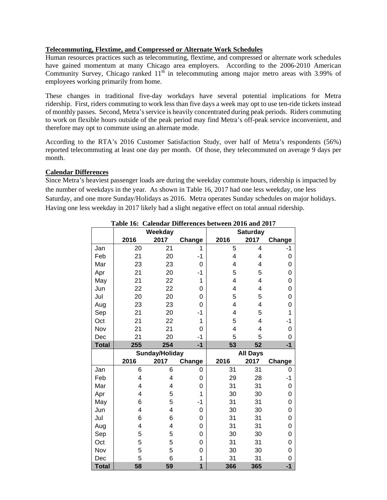## **Telecommuting, Flextime, and Compressed or Alternate Work Schedules**

Human resources practices such as telecommuting, flextime, and compressed or alternate work schedules have gained momentum at many Chicago area employers. According to the 2006-2010 American Community Survey, Chicago ranked  $11<sup>th</sup>$  in telecommuting among major metro areas with 3.99% of employees working primarily from home.

These changes in traditional five-day workdays have several potential implications for Metra ridership. First, riders commuting to work less than five days a week may opt to use ten-ride tickets instead of monthly passes. Second, Metra's service is heavily concentrated during peak periods. Riders commuting to work on flexible hours outside of the peak period may find Metra's off-peak service inconvenient, and therefore may opt to commute using an alternate mode.

According to the RTA's 2016 Customer Satisfaction Study, over half of Metra's respondents (56%) reported telecommuting at least one day per month. Of those, they telecommuted on average 9 days per month.

## **Calendar Differences**

Since Metra's heaviest passenger loads are during the weekday commute hours, ridership is impacted by the number of weekdays in the year. As shown in Table 16, 2017 had one less weekday, one less Saturday, and one more Sunday/Holidays as 2016. Metra operates Sunday schedules on major holidays. Having one less weekday in 2017 likely had a slight negative effect on total annual ridership.

|              |      | Weekday        |        |      | <b>Saturday</b> |                |  |  |  |
|--------------|------|----------------|--------|------|-----------------|----------------|--|--|--|
|              | 2016 | 2017           | Change | 2016 | 2017            | Change         |  |  |  |
| Jan          | 20   | 21             | 1      | 5    | 4               | -1             |  |  |  |
| Feb          | 21   | 20             | -1     | 4    | 4               | 0              |  |  |  |
| Mar          | 23   | 23             | 0      | 4    | 4               | 0              |  |  |  |
| Apr          | 21   | 20             | $-1$   | 5    | 5               | 0              |  |  |  |
| May          | 21   | 22             | 1      | 4    | 4               | $\overline{0}$ |  |  |  |
| Jun          | 22   | 22             | 0      | 4    | 4               | 0              |  |  |  |
| Jul          | 20   | 20             | 0      | 5    | 5               | 0              |  |  |  |
| Aug          | 23   | 23             | 0      | 4    | 4               | 0              |  |  |  |
| Sep          | 21   | 20             | $-1$   | 4    | 5               | 1              |  |  |  |
| Oct          | 21   | 22             | 1      | 5    | 4               | $-1$           |  |  |  |
| Nov          | 21   | 21             | 0      | 4    | 4               | 0              |  |  |  |
| Dec          | 21   | 20             | -1     | 5    | 5               | 0              |  |  |  |
| <b>Total</b> | 255  | 254            | $-1$   | 53   | 52              | $-1$           |  |  |  |
|              |      |                |        |      |                 |                |  |  |  |
|              |      | Sunday/Holiday |        |      | <b>All Days</b> |                |  |  |  |
|              | 2016 | 2017           | Change | 2016 | 2017            | Change         |  |  |  |
| Jan          | 6    | 6              | 0      | 31   | 31              | 0              |  |  |  |
| Feb          | 4    | 4              | 0      | 29   | 28              | $-1$           |  |  |  |
| Mar          | 4    | 4              | 0      | 31   | 31              | 0              |  |  |  |
| Apr          | 4    | 5              | 1      | 30   | 30              | 0              |  |  |  |
| May          | 6    | 5              | -1     | 31   | 31              | 0              |  |  |  |
| Jun          | 4    | $\overline{4}$ | 0      | 30   | 30              | 0              |  |  |  |
| Jul          | 6    | 6              | 0      | 31   | 31              | $\overline{0}$ |  |  |  |
| Aug          | 4    | 4              | 0      | 31   | 31              | 0              |  |  |  |
| Sep          | 5    | 5              | 0      | 30   | 30              | 0              |  |  |  |
| Oct          | 5    | 5              | 0      | 31   | 31              | 0              |  |  |  |
| Nov          | 5    | 5              | 0      | 30   | 30              | 0              |  |  |  |
| Dec          | 5    | 6              | 1      | 31   | 31              | 0              |  |  |  |

## **Table 16: Calendar Differences between 2016 and 2017**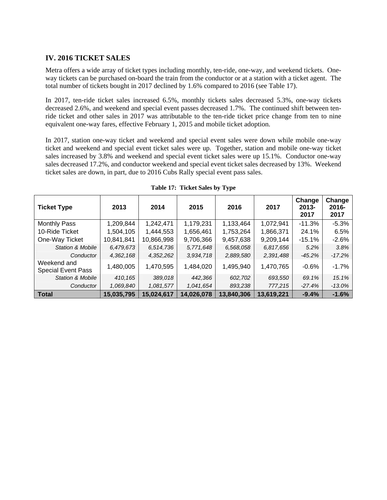## **IV. 2016 TICKET SALES**

Metra offers a wide array of ticket types including monthly, ten-ride, one-way, and weekend tickets. Oneway tickets can be purchased on-board the train from the conductor or at a station with a ticket agent. The total number of tickets bought in 2017 declined by 1.6% compared to 2016 (see Table 17).

In 2017, ten-ride ticket sales increased 6.5%, monthly tickets sales decreased 5.3%, one-way tickets decreased 2.6%, and weekend and special event passes decreased 1.7%. The continued shift between tenride ticket and other sales in 2017 was attributable to the ten-ride ticket price change from ten to nine equivalent one-way fares, effective February 1, 2015 and mobile ticket adoption.

In 2017, station one-way ticket and weekend and special event sales were down while mobile one-way ticket and weekend and special event ticket sales were up. Together, station and mobile one-way ticket sales increased by 3.8% and weekend and special event ticket sales were up 15.1%. Conductor one-way sales decreased 17.2%, and conductor weekend and special event ticket sales decreased by 13%. Weekend ticket sales are down, in part, due to 2016 Cubs Rally special event pass sales.

| <b>Ticket Type</b>                       | 2013       | 2014       | 2015       | 2016       | 2017       | Change<br>$2013 -$<br>2017 | Change<br>2016-<br>2017 |
|------------------------------------------|------------|------------|------------|------------|------------|----------------------------|-------------------------|
| <b>Monthly Pass</b>                      | 1,209,844  | 1,242,471  | 1,179,231  | 1,133,464  | 1,072,941  | $-11.3%$                   | $-5.3%$                 |
| 10-Ride Ticket                           | 1,504,105  | 1,444,553  | 1,656,461  | 1,753,264  | 1,866,371  | 24.1%                      | 6.5%                    |
| One-Way Ticket                           | 10,841,841 | 10,866,998 | 9,706,366  | 9,457,638  | 9,209,144  | $-15.1%$                   | $-2.6%$                 |
| <b>Station &amp; Mobile</b>              | 6,479,673  | 6,514,736  | 5,771,648  | 6,568,058  | 6,817,656  | 5.2%                       | 3.8%                    |
| Conductor                                | 4,362,168  | 4,352,262  | 3,934,718  | 2,889,580  | 2,391,488  | $-45.2%$                   | $-17.2%$                |
| Weekend and<br><b>Special Event Pass</b> | 1,480,005  | 1,470,595  | 1,484,020  | 1,495,940  | 1,470,765  | $-0.6%$                    | $-1.7%$                 |
| <b>Station &amp; Mobile</b>              | 410.165    | 389.018    | 442.366    | 602.702    | 693,550    | 69.1%                      | 15.1%                   |
| Conductor                                | 1,069,840  | 1,081,577  | 1,041,654  | 893,238    | 777,215    | $-27.4%$                   | $-13.0\%$               |
| Total                                    | 15,035,795 | 15,024,617 | 14,026,078 | 13,840,306 | 13,619,221 | $-9.4%$                    | $-1.6%$                 |

**Table 17: Ticket Sales by Type**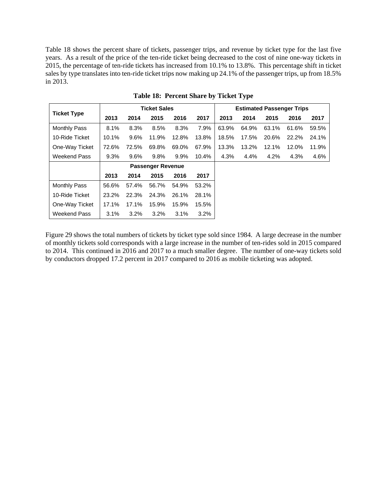Table 18 shows the percent share of tickets, passenger trips, and revenue by ticket type for the last five years. As a result of the price of the ten-ride ticket being decreased to the cost of nine one-way tickets in 2015, the percentage of ten-ride tickets has increased from 10.1% to 13.8%. This percentage shift in ticket sales by type translates into ten-ride ticket trips now making up 24.1% of the passenger trips, up from 18.5% in 2013.

|                     |       |       | <b>Ticket Sales</b>      |       |         | <b>Estimated Passenger Trips</b> |       |       |       |       |
|---------------------|-------|-------|--------------------------|-------|---------|----------------------------------|-------|-------|-------|-------|
| <b>Ticket Type</b>  | 2013  | 2014  | 2015                     | 2016  | 2017    | 2013                             | 2014  | 2015  | 2016  | 2017  |
| <b>Monthly Pass</b> | 8.1%  | 8.3%  | 8.5%                     | 8.3%  | 7.9%    | 63.9%                            | 64.9% | 63.1% | 61.6% | 59.5% |
| 10-Ride Ticket      | 10.1% | 9.6%  | 11.9%                    | 12.8% | 13.8%   | 18.5%                            | 17.5% | 20.6% | 22.2% | 24.1% |
| One-Way Ticket      | 72.6% | 72.5% | 69.8%                    | 69.0% | 67.9%   | 13.3%                            | 13.2% | 12.1% | 12.0% | 11.9% |
| Weekend Pass        | 9.3%  | 9.6%  | 9.8%                     | 9.9%  | 10.4%   | 4.3%                             | 4.4%  | 4.2%  | 4.3%  | 4.6%  |
|                     |       |       | <b>Passenger Revenue</b> |       |         |                                  |       |       |       |       |
|                     | 2013  | 2014  | 2015                     | 2016  | 2017    |                                  |       |       |       |       |
| <b>Monthly Pass</b> | 56.6% | 57.4% | 56.7%                    | 54.9% | 53.2%   |                                  |       |       |       |       |
| 10-Ride Ticket      | 23.2% | 22.3% | 24.3%                    | 26.1% | 28.1%   |                                  |       |       |       |       |
| One-Way Ticket      | 17.1% | 17.1% | 15.9%                    | 15.9% | 15.5%   |                                  |       |       |       |       |
| Weekend Pass        | 3.1%  | 3.2%  | 3.2%                     | 3.1%  | $3.2\%$ |                                  |       |       |       |       |

**Table 18: Percent Share by Ticket Type** 

Figure 29 shows the total numbers of tickets by ticket type sold since 1984. A large decrease in the number of monthly tickets sold corresponds with a large increase in the number of ten-rides sold in 2015 compared to 2014. This continued in 2016 and 2017 to a much smaller degree. The number of one-way tickets sold by conductors dropped 17.2 percent in 2017 compared to 2016 as mobile ticketing was adopted.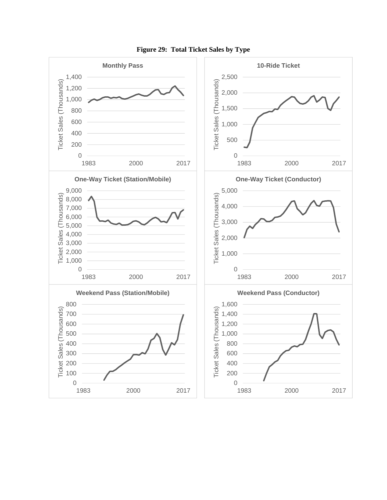

**Figure 29: Total Ticket Sales by Type**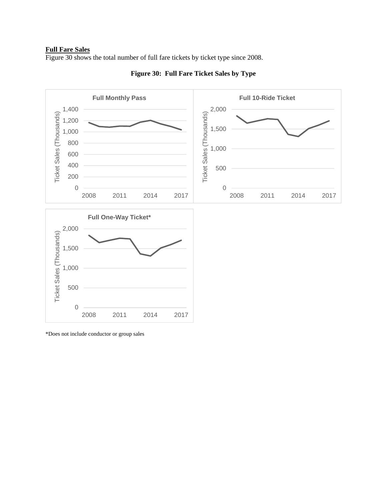#### **Full Fare Sales**

Figure 30 shows the total number of full fare tickets by ticket type since 2008.



**Figure 30: Full Fare Ticket Sales by Type** 

\*Does not include conductor or group sales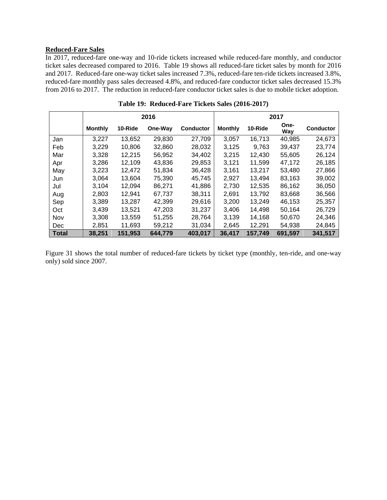# **Reduced-Fare Sales**

In 2017, reduced-fare one-way and 10-ride tickets increased while reduced-fare monthly, and conductor ticket sales decreased compared to 2016. Table 19 shows all reduced-fare ticket sales by month for 2016 and 2017. Reduced-fare one-way ticket sales increased 7.3%, reduced-fare ten-ride tickets increased 3.8%, reduced-fare monthly pass sales decreased 4.8%, and reduced-fare conductor ticket sales decreased 15.3% from 2016 to 2017. The reduction in reduced-fare conductor ticket sales is due to mobile ticket adoption.

|              |                |         | 2016    |                  | 2017           |         |             |                  |
|--------------|----------------|---------|---------|------------------|----------------|---------|-------------|------------------|
|              | <b>Monthly</b> | 10-Ride | One-Way | <b>Conductor</b> | <b>Monthly</b> | 10-Ride | One-<br>Way | <b>Conductor</b> |
| Jan          | 3,227          | 13,652  | 29,830  | 27,709           | 3,057          | 16.713  | 40,985      | 24,673           |
| Feb          | 3,229          | 10,806  | 32,860  | 28,032           | 3,125          | 9,763   | 39,437      | 23,774           |
| Mar          | 3,328          | 12,215  | 56,952  | 34,402           | 3,215          | 12.430  | 55,605      | 26,124           |
| Apr          | 3,286          | 12,109  | 43.836  | 29,853           | 3,121          | 11,599  | 47,172      | 26,185           |
| May          | 3,223          | 12,472  | 51,834  | 36,428           | 3,161          | 13,217  | 53,480      | 27,866           |
| Jun          | 3,064          | 13,604  | 75,390  | 45,745           | 2,927          | 13.494  | 83,163      | 39,002           |
| Jul          | 3.104          | 12.094  | 86.271  | 41,886           | 2,730          | 12.535  | 86,162      | 36,050           |
| Aug          | 2,803          | 12,941  | 67,737  | 38,311           | 2,691          | 13,792  | 83,668      | 36,566           |
| Sep          | 3,389          | 13.287  | 42,399  | 29,616           | 3,200          | 13,249  | 46,153      | 25,357           |
| Oct          | 3.439          | 13.521  | 47.203  | 31,237           | 3.406          | 14,498  | 50.164      | 26,729           |
| Nov          | 3,308          | 13,559  | 51,255  | 28,764           | 3,139          | 14,168  | 50,670      | 24,346           |
| <b>Dec</b>   | 2,851          | 11,693  | 59,212  | 31,034           | 2,645          | 12,291  | 54,938      | 24,845           |
| <b>Total</b> | 38,251         | 151,953 | 644,779 | 403,017          | 36,417         | 157,749 | 691,597     | 341,517          |

**Table 19: Reduced-Fare Tickets Sales (2016-2017)** 

Figure 31 shows the total number of reduced-fare tickets by ticket type (monthly, ten-ride, and one-way only) sold since 2007.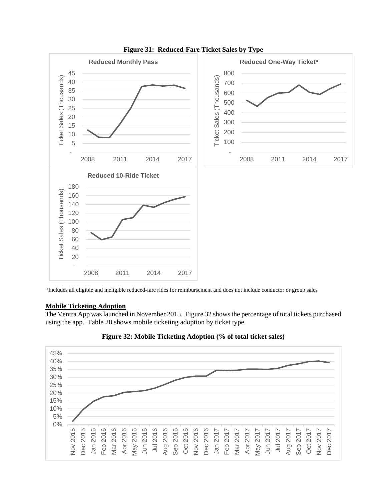

**Figure 31: Reduced-Fare Ticket Sales by Type** 

\*Includes all eligible and ineligible reduced-fare rides for reimbursement and does not include conductor or group sales

#### **Mobile Ticketing Adoption**

The Ventra App was launched in November 2015. Figure 32 shows the percentage of total tickets purchased using the app. Table 20 shows mobile ticketing adoption by ticket type.



**Figure 32: Mobile Ticketing Adoption (% of total ticket sales)**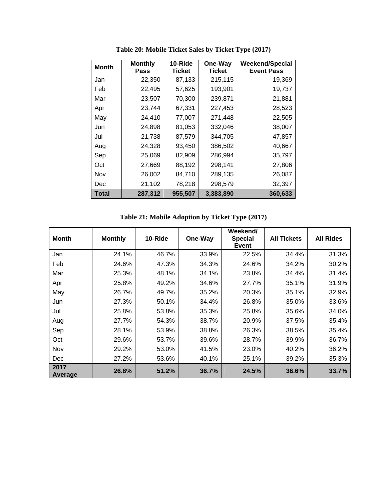| <b>Month</b> | <b>Monthly</b><br><b>Pass</b> | 10-Ride<br><b>Ticket</b> | One-Way<br><b>Ticket</b> | <b>Weekend/Special</b><br><b>Event Pass</b> |
|--------------|-------------------------------|--------------------------|--------------------------|---------------------------------------------|
| Jan          | 22,350                        | 87,133                   | 215,115                  | 19,369                                      |
| Feb          | 22,495                        | 57,625                   | 193,901                  | 19,737                                      |
| Mar          | 23,507                        | 70,300                   | 239,871                  | 21,881                                      |
| Apr          | 23,744                        | 67,331                   | 227,453                  | 28,523                                      |
| May          | 24,410                        | 77,007                   | 271,448                  | 22,505                                      |
| Jun          | 24,898                        | 81,053                   | 332,046                  | 38,007                                      |
| Jul          | 21,738                        | 87,579                   | 344,705                  | 47,857                                      |
| Aug          | 24,328                        | 93,450                   | 386,502                  | 40,667                                      |
| Sep          | 25,069                        | 82,909                   | 286,994                  | 35,797                                      |
| Oct          | 27,669                        | 88,192                   | 298,141                  | 27,806                                      |
| Nov          | 26,002                        | 84,710                   | 289,135                  | 26,087                                      |
| Dec          | 21,102                        | 78,218                   | 298,579                  | 32,397                                      |
| Total        | 287,312                       | 955,507                  | 3,383,890                | 360,633                                     |

**Table 20: Mobile Ticket Sales by Ticket Type (2017)** 

**Table 21: Mobile Adoption by Ticket Type (2017)** 

| <b>Month</b>    | <b>Monthly</b> | 10-Ride | One-Way | Weekend/<br><b>Special</b><br><b>Event</b> | <b>All Tickets</b> | <b>All Rides</b> |
|-----------------|----------------|---------|---------|--------------------------------------------|--------------------|------------------|
| Jan             | 24.1%          | 46.7%   | 33.9%   | 22.5%                                      | 34.4%              | 31.3%            |
| Feb             | 24.6%          | 47.3%   | 34.3%   | 24.6%                                      | 34.2%              | 30.2%            |
| Mar             | 25.3%          | 48.1%   | 34.1%   | 23.8%                                      | 34.4%              | 31.4%            |
| Apr             | 25.8%          | 49.2%   | 34.6%   | 27.7%                                      | 35.1%              | 31.9%            |
| May             | 26.7%          | 49.7%   | 35.2%   | 20.3%                                      | 35.1%              | 32.9%            |
| Jun             | 27.3%          | 50.1%   | 34.4%   | 26.8%                                      | 35.0%              | 33.6%            |
| Jul             | 25.8%          | 53.8%   | 35.3%   | 25.8%                                      | 35.6%              | 34.0%            |
| Aug             | 27.7%          | 54.3%   | 38.7%   | 20.9%                                      | 37.5%              | 35.4%            |
| Sep             | 28.1%          | 53.9%   | 38.8%   | 26.3%                                      | 38.5%              | 35.4%            |
| Oct             | 29.6%          | 53.7%   | 39.6%   | 28.7%                                      | 39.9%              | 36.7%            |
| Nov             | 29.2%          | 53.0%   | 41.5%   | 23.0%                                      | 40.2%              | 36.2%            |
| Dec             | 27.2%          | 53.6%   | 40.1%   | 25.1%                                      | 39.2%              | 35.3%            |
| 2017<br>Average | 26.8%          | 51.2%   | 36.7%   | 24.5%                                      | 36.6%              | 33.7%            |